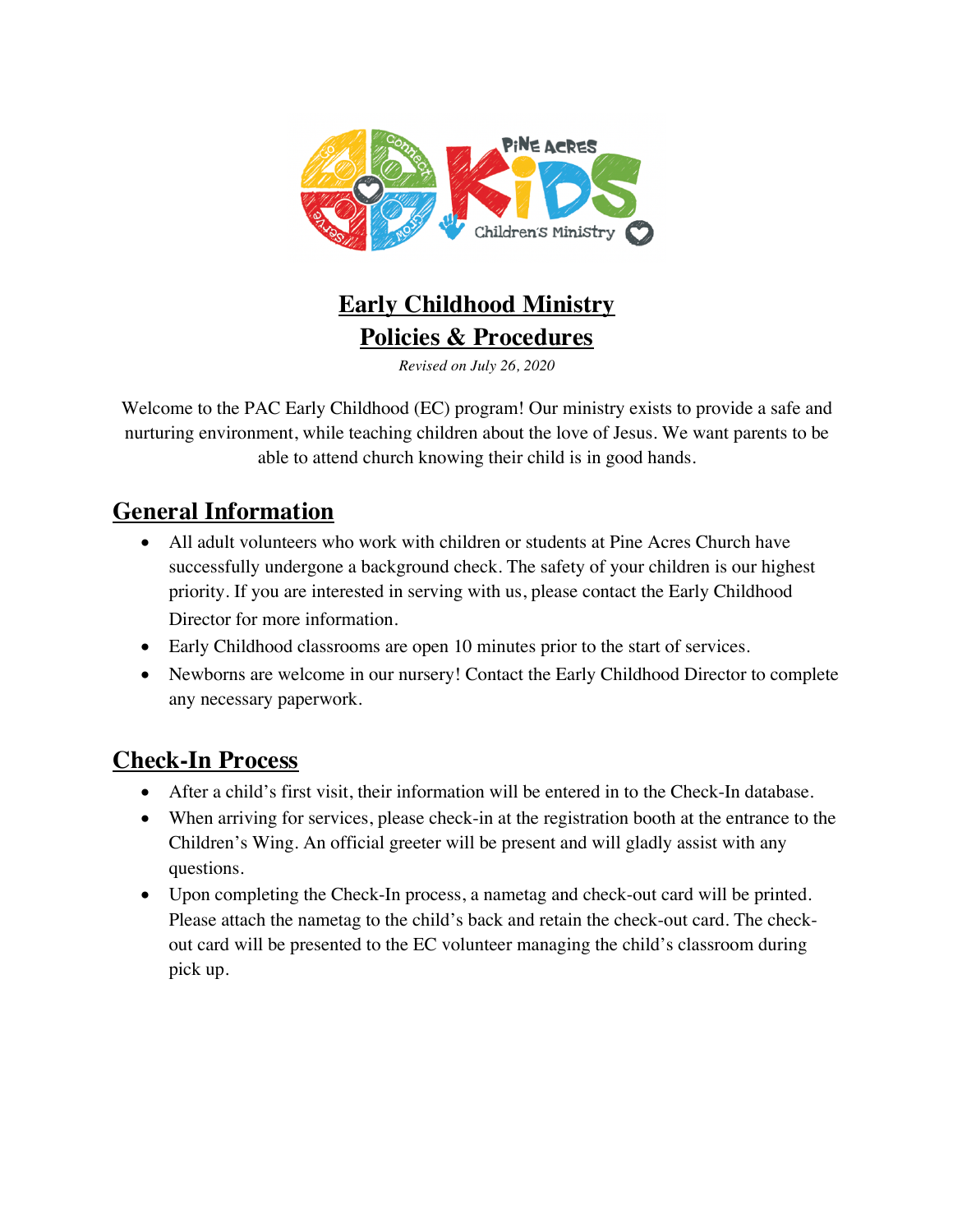

# **Early Childhood Ministry Policies & Procedures**

*Revised on July 26, 2020*

Welcome to the PAC Early Childhood (EC) program! Our ministry exists to provide a safe and nurturing environment, while teaching children about the love of Jesus. We want parents to be able to attend church knowing their child is in good hands.

### **General Information**

- All adult volunteers who work with children or students at Pine Acres Church have successfully undergone a background check. The safety of your children is our highest priority. If you are interested in serving with us, please contact the Early Childhood Director for more information.
- Early Childhood classrooms are open 10 minutes prior to the start of services.
- Newborns are welcome in our nursery! Contact the Early Childhood Director to complete any necessary paperwork.

### **Check-In Process**

- After a child's first visit, their information will be entered in to the Check-In database.
- When arriving for services, please check-in at the registration booth at the entrance to the Children's Wing. An official greeter will be present and will gladly assist with any questions.
- Upon completing the Check-In process, a nametag and check-out card will be printed. Please attach the nametag to the child's back and retain the check-out card. The checkout card will be presented to the EC volunteer managing the child's classroom during pick up.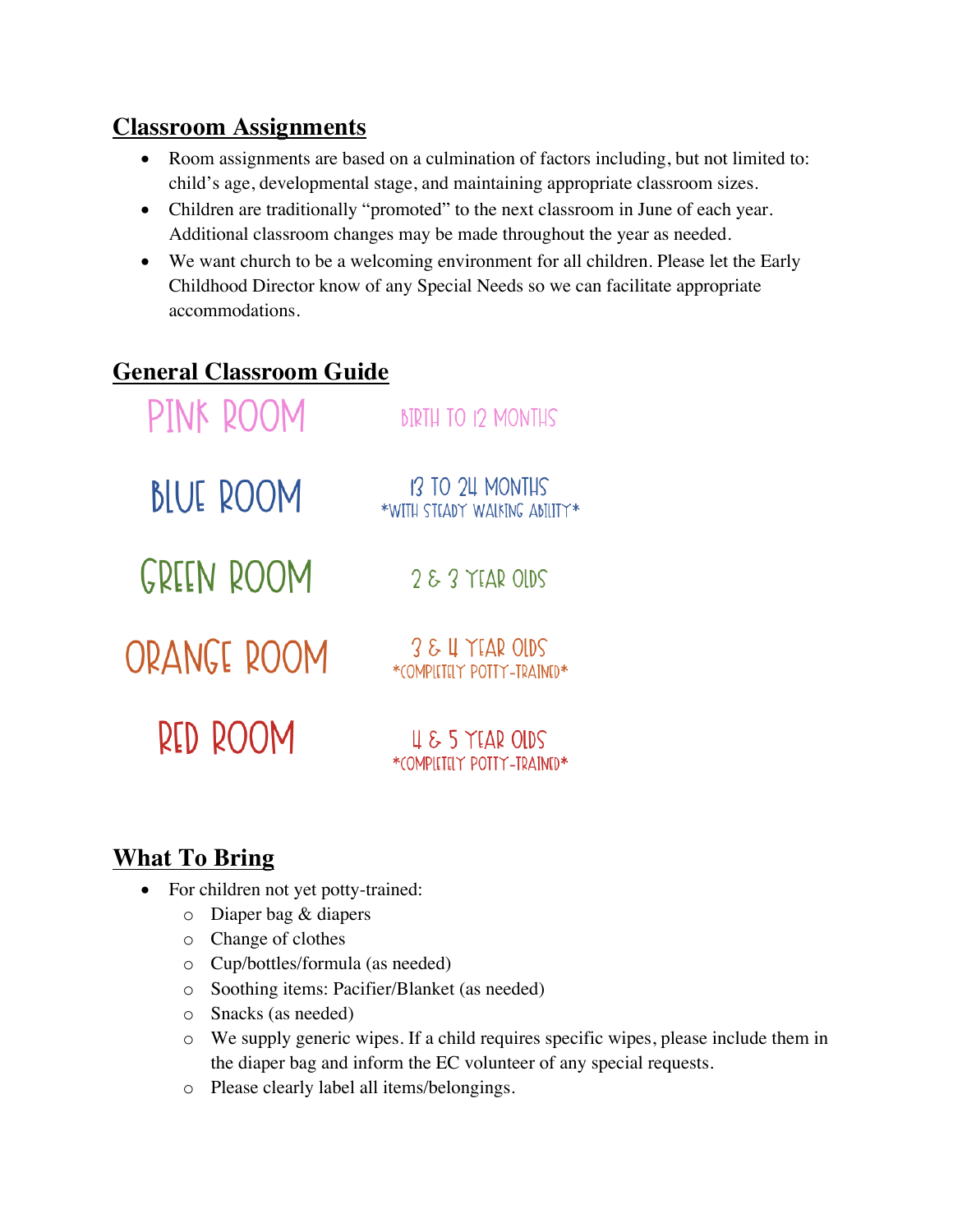### **Classroom Assignments**

- Room assignments are based on a culmination of factors including, but not limited to: child's age, developmental stage, and maintaining appropriate classroom sizes.
- Children are traditionally "promoted" to the next classroom in June of each year. Additional classroom changes may be made throughout the year as needed.
- We want church to be a welcoming environment for all children. Please let the Early Childhood Director know of any Special Needs so we can facilitate appropriate accommodations.

## **General Classroom Guide**

| PINK ROOM        | <b>BIRTH TO 12 MONTHS</b>                        |
|------------------|--------------------------------------------------|
| <b>BLUE ROOM</b> | 13 TO 24 MONTHS<br>*WITH STEADY WAIKING ABILITY* |
| GREEN ROOM       | $283$ YEAR OIDS                                  |
| ORANGE ROOM      | 3 & LI YEAR OIDS<br>*COMPIETELY POTTY-TRAINED*   |
| RED ROOM         | 4 & 5 YEAR OLDS<br>*COMPILITELY POTTY-TRAINED*   |

# **What To Bring**

- For children not yet potty-trained:
	- o Diaper bag & diapers
	- o Change of clothes
	- o Cup/bottles/formula (as needed)
	- o Soothing items: Pacifier/Blanket (as needed)
	- o Snacks (as needed)
	- o We supply generic wipes. If a child requires specific wipes, please include them in the diaper bag and inform the EC volunteer of any special requests.
	- o Please clearly label all items/belongings.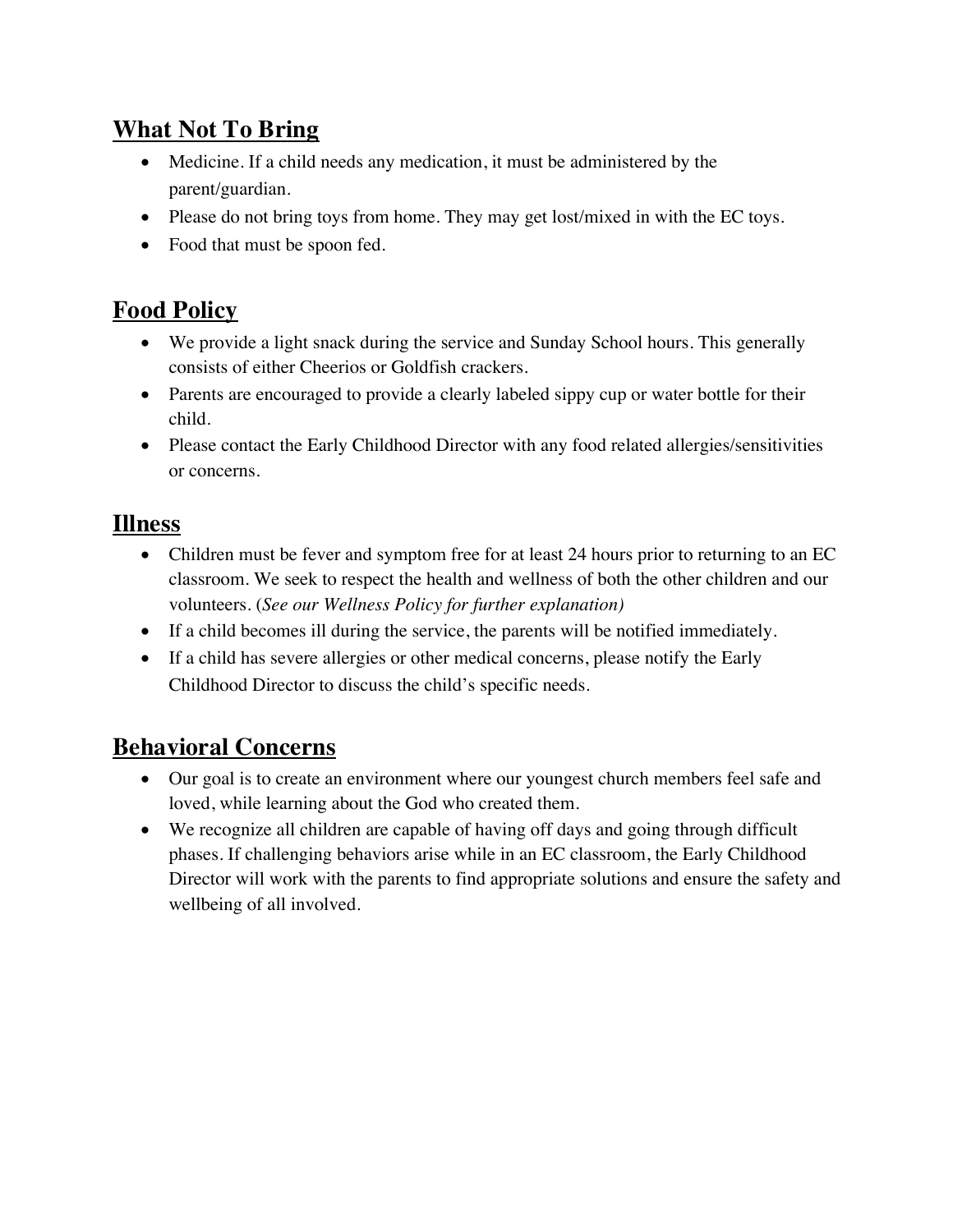# **What Not To Bring**

- Medicine. If a child needs any medication, it must be administered by the parent/guardian.
- Please do not bring toys from home. They may get lost/mixed in with the EC toys.
- Food that must be spoon fed.

## **Food Policy**

- We provide a light snack during the service and Sunday School hours. This generally consists of either Cheerios or Goldfish crackers.
- Parents are encouraged to provide a clearly labeled sippy cup or water bottle for their child.
- Please contact the Early Childhood Director with any food related allergies/sensitivities or concerns.

#### **Illness**

- Children must be fever and symptom free for at least 24 hours prior to returning to an EC classroom. We seek to respect the health and wellness of both the other children and our volunteers. (*See our Wellness Policy for further explanation)*
- If a child becomes ill during the service, the parents will be notified immediately.
- If a child has severe allergies or other medical concerns, please notify the Early Childhood Director to discuss the child's specific needs.

### **Behavioral Concerns**

- Our goal is to create an environment where our youngest church members feel safe and loved, while learning about the God who created them.
- We recognize all children are capable of having off days and going through difficult phases. If challenging behaviors arise while in an EC classroom, the Early Childhood Director will work with the parents to find appropriate solutions and ensure the safety and wellbeing of all involved.